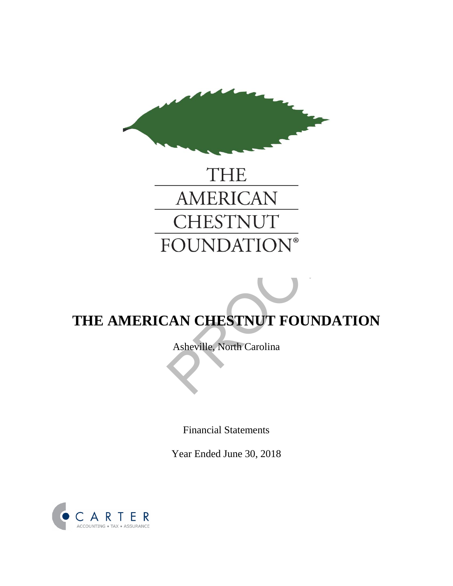

# **THE AMERICAN CHESTNUT FOUNDATION**

Asheville, North Carolina

Financial Statements

Year Ended June 30, 2018

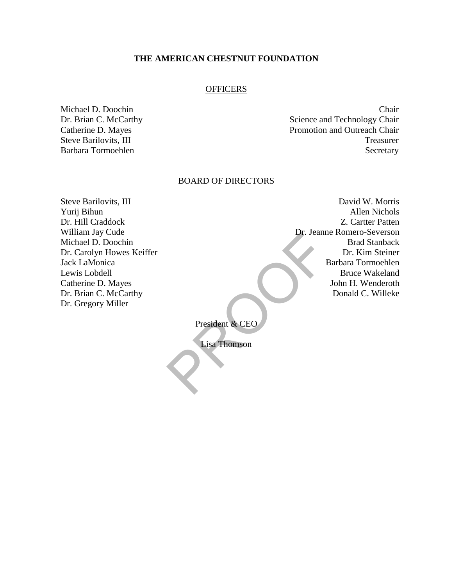#### **OFFICERS**

Michael D. Doochin Dr. Brian C. McCarthy Catherine D. Mayes Steve Barilovits, III Barbara Tormoehlen

Chair Science and Technology Chair Promotion and Outreach Chair Treasurer Secretary

#### BOARD OF DIRECTORS

Steve Barilovits, III Yurij Bihun Dr. Hill Craddock William Jay Cude Michael D. Doochin Dr. Carolyn Howes Keiffer Jack LaMonica Lewis Lobdell Catherine D. Mayes Dr. Brian C. McCarthy Dr. Gregory Miller

President & CEO David W. Morris Allen Nichols Z. Cartter Patten Dr. Jeanne Romero-Severson Brad Stanback Dr. Kim Steiner Barbara Tormoehlen Bruce Wakeland John H. Wenderoth Donald C. Willeke

#### President & CEO

Lisa Thomson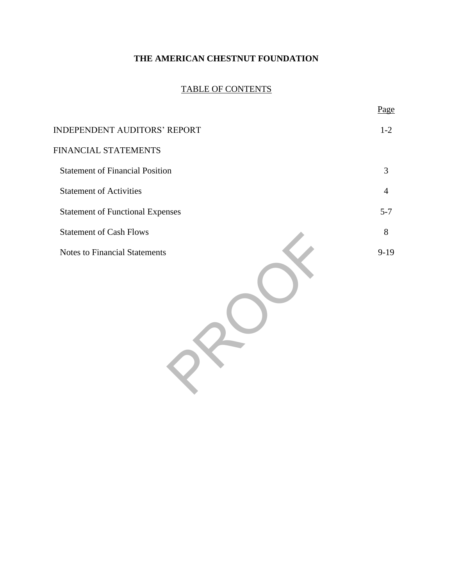# TABLE OF CONTENTS

|                                         | Page           |
|-----------------------------------------|----------------|
| <b>INDEPENDENT AUDITORS' REPORT</b>     | $1 - 2$        |
| FINANCIAL STATEMENTS                    |                |
| <b>Statement of Financial Position</b>  | 3              |
| <b>Statement of Activities</b>          | $\overline{4}$ |
| <b>Statement of Functional Expenses</b> | $5 - 7$        |
| <b>Statement of Cash Flows</b>          | 8              |
| <b>Notes to Financial Statements</b>    | $9-19$         |
|                                         |                |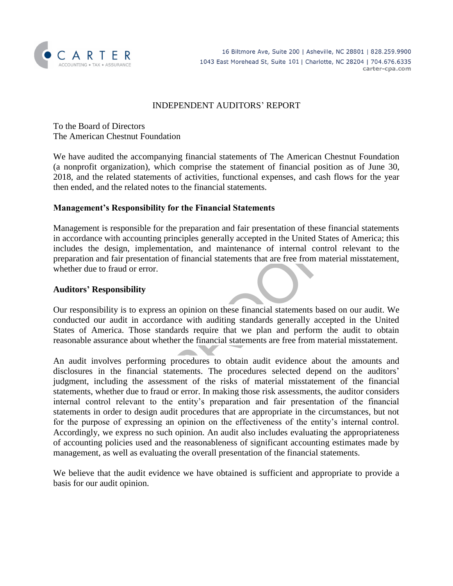

#### INDEPENDENT AUDITORS' REPORT

To the Board of Directors The American Chestnut Foundation

We have audited the accompanying financial statements of The American Chestnut Foundation (a nonprofit organization), which comprise the statement of financial position as of June 30, 2018, and the related statements of activities, functional expenses, and cash flows for the year then ended, and the related notes to the financial statements.

#### **Management's Responsibility for the Financial Statements**

principles generally accepted in the United Stand<br>tation, and maintenance of internal contrary<br>of financial statements that are free from ma<br>an opinion on these financial statements base<br>ance with auditing standards genera Management is responsible for the preparation and fair presentation of these financial statements in accordance with accounting principles generally accepted in the United States of America; this includes the design, implementation, and maintenance of internal control relevant to the preparation and fair presentation of financial statements that are free from material misstatement, whether due to fraud or error.

#### **Auditors' Responsibility**

Our responsibility is to express an opinion on these financial statements based on our audit. We conducted our audit in accordance with auditing standards generally accepted in the United States of America. Those standards require that we plan and perform the audit to obtain reasonable assurance about whether the financial statements are free from material misstatement.

An audit involves performing procedures to obtain audit evidence about the amounts and disclosures in the financial statements. The procedures selected depend on the auditors' judgment, including the assessment of the risks of material misstatement of the financial statements, whether due to fraud or error. In making those risk assessments, the auditor considers internal control relevant to the entity's preparation and fair presentation of the financial statements in order to design audit procedures that are appropriate in the circumstances, but not for the purpose of expressing an opinion on the effectiveness of the entity's internal control. Accordingly, we express no such opinion. An audit also includes evaluating the appropriateness of accounting policies used and the reasonableness of significant accounting estimates made by management, as well as evaluating the overall presentation of the financial statements.

We believe that the audit evidence we have obtained is sufficient and appropriate to provide a basis for our audit opinion.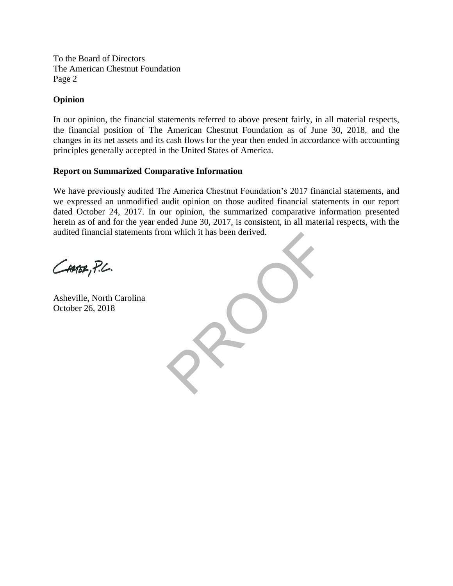To the Board of Directors The American Chestnut Foundation Page 2

#### **Opinion**

In our opinion, the financial statements referred to above present fairly, in all material respects, the financial position of The American Chestnut Foundation as of June 30, 2018, and the changes in its net assets and its cash flows for the year then ended in accordance with accounting principles generally accepted in the United States of America.

#### **Report on Summarized Comparative Information**

PROOF We have previously audited The America Chestnut Foundation's 2017 financial statements, and we expressed an unmodified audit opinion on those audited financial statements in our report dated October 24, 2017. In our opinion, the summarized comparative information presented herein as of and for the year ended June 30, 2017, is consistent, in all material respects, with the audited financial statements from which it has been derived.

CAPTER, P.C.

Asheville, North Carolina October 26, 2018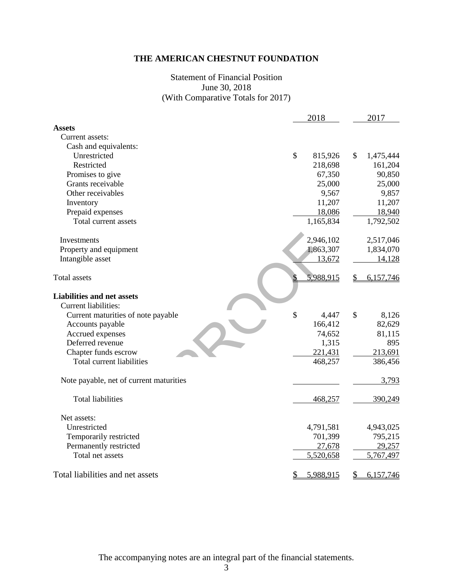#### Statement of Financial Position June 30, 2018 (With Comparative Totals for 2017)

|                                         | 2018            |               | 2017      |
|-----------------------------------------|-----------------|---------------|-----------|
| <b>Assets</b>                           |                 |               |           |
| Current assets:                         |                 |               |           |
| Cash and equivalents:                   |                 |               |           |
| Unrestricted                            | \$<br>815,926   | $\mathcal{S}$ | 1,475,444 |
| Restricted                              | 218,698         |               | 161,204   |
| Promises to give                        | 67,350          |               | 90,850    |
| Grants receivable                       | 25,000          |               | 25,000    |
| Other receivables                       | 9,567           |               | 9,857     |
| Inventory                               | 11,207          |               | 11,207    |
| Prepaid expenses                        | 18,086          |               | 18,940    |
| Total current assets                    | 1,165,834       |               | 1,792,502 |
| Investments                             | 2,946,102       |               | 2,517,046 |
| Property and equipment                  | 1,863,307       |               | 1,834,070 |
| Intangible asset                        | 13,672          |               | 14,128    |
| <b>Total</b> assets                     | 5,988,915       | S             | 6,157,746 |
| <b>Liabilities and net assets</b>       |                 |               |           |
| <b>Current liabilities:</b>             |                 |               |           |
| Current maturities of note payable      | \$<br>4,447     | \$            | 8,126     |
| Accounts payable                        | 166,412         |               | 82,629    |
| Accrued expenses                        | 74,652          |               | 81,115    |
| Deferred revenue                        | 1,315           |               | 895       |
| Chapter funds escrow                    | 221,431         |               | 213,691   |
| Total current liabilities               | 468,257         |               | 386,456   |
| Note payable, net of current maturities |                 |               | 3,793     |
| <b>Total liabilities</b>                | 468,257         |               | 390,249   |
| Net assets:                             |                 |               |           |
| Unrestricted                            | 4,791,581       |               | 4,943,025 |
| Temporarily restricted                  | 701,399         |               | 795,215   |
| Permanently restricted                  | 27,678          |               | 29,257    |
| Total net assets                        | 5,520,658       |               | 5,767,497 |
| Total liabilities and net assets        | \$<br>5,988,915 | \$            | 6,157,746 |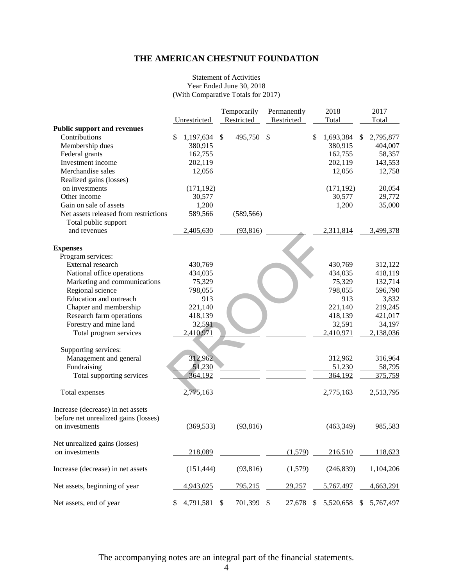#### Statement of Activities Year Ended June 30, 2018 (With Comparative Totals for 2017)

|                                                |                 |               | Temporarily |               | Permanently | 2018            | 2017            |
|------------------------------------------------|-----------------|---------------|-------------|---------------|-------------|-----------------|-----------------|
|                                                | Unrestricted    |               | Restricted  |               | Restricted  | Total           | Total           |
| <b>Public support and revenues</b>             |                 |               |             |               |             |                 |                 |
| Contributions                                  | \$<br>1,197,634 | \$            | 495,750     | \$            |             | \$<br>1,693,384 | \$<br>2,795,877 |
| Membership dues                                | 380,915         |               |             |               |             | 380,915         | 404,007         |
| Federal grants                                 | 162,755         |               |             |               |             | 162,755         | 58,357          |
| Investment income                              | 202,119         |               |             |               |             | 202,119         | 143,553         |
| Merchandise sales                              | 12,056          |               |             |               |             | 12,056          | 12,758          |
| Realized gains (losses)                        |                 |               |             |               |             |                 |                 |
| on investments                                 | (171, 192)      |               |             |               |             | (171, 192)      | 20,054          |
| Other income                                   | 30,577          |               |             |               |             | 30,577          | 29,772          |
| Gain on sale of assets                         | 1,200           |               |             |               |             | 1,200           | 35,000          |
| Net assets released from restrictions          | 589,566         |               | (589, 566)  |               |             |                 |                 |
| Total public support                           |                 |               |             |               |             |                 |                 |
| and revenues                                   | 2,405,630       |               | (93, 816)   |               |             | 2,311,814       | 3,499,378       |
|                                                |                 |               |             |               |             |                 |                 |
| <b>Expenses</b>                                |                 |               |             |               |             |                 |                 |
| Program services:                              |                 |               |             |               |             |                 |                 |
| External research                              | 430,769         |               |             |               |             | 430,769         | 312,122         |
| National office operations                     | 434,035         |               |             |               |             | 434,035         | 418,119         |
| Marketing and communications                   | 75,329          |               |             |               |             | 75,329          | 132,714         |
| Regional science                               | 798,055         |               |             |               |             | 798,055         | 596,790         |
| Education and outreach                         | 913             |               |             |               |             | 913             | 3,832           |
| Chapter and membership                         | 221,140         |               |             |               |             | 221,140         | 219,245         |
| Research farm operations                       | 418,139         |               |             |               |             | 418,139         | 421,017         |
| Forestry and mine land                         | 32,591          |               |             |               |             | 32,591          | 34,197          |
|                                                | 2,410,971       |               |             |               |             |                 |                 |
| Total program services                         |                 |               |             |               |             | 2,410,971       | 2,138,036       |
|                                                |                 |               |             |               |             |                 |                 |
| Supporting services:<br>Management and general | 312,962         |               |             |               |             | 312,962         | 316,964         |
|                                                | 51,230          |               |             |               |             |                 |                 |
| Fundraising                                    |                 |               |             |               |             | 51,230          | 58,795          |
| Total supporting services                      | 364,192         |               |             |               |             | 364,192         | 375,759         |
|                                                |                 |               |             |               |             |                 |                 |
| Total expenses                                 | 2,775,163       |               |             |               |             | 2,775,163       | 2,513,795       |
|                                                |                 |               |             |               |             |                 |                 |
| Increase (decrease) in net assets              |                 |               |             |               |             |                 |                 |
| before net unrealized gains (losses)           |                 |               |             |               |             |                 |                 |
| on investments                                 | (369, 533)      |               | (93, 816)   |               |             | (463, 349)      | 985,583         |
|                                                |                 |               |             |               |             |                 |                 |
| Net unrealized gains (losses)                  |                 |               |             |               |             |                 |                 |
| on investments                                 | 218,089         |               |             |               | (1,579)     | 216,510         | 118,623         |
|                                                |                 |               |             |               |             |                 |                 |
| Increase (decrease) in net assets              | (151, 444)      |               | (93, 816)   |               | (1,579)     | (246, 839)      | 1,104,206       |
|                                                |                 |               |             |               |             |                 |                 |
| Net assets, beginning of year                  | 4,943,025       |               | 795,215     |               | 29,257      | 5,767,497       | 4,663,291       |
|                                                |                 |               |             |               |             |                 |                 |
| Net assets, end of year                        | 4,791,581       | $\frac{1}{2}$ | 701,399     | $\frac{1}{2}$ | 27,678      | \$ 5,520,658    | \$5,767,497     |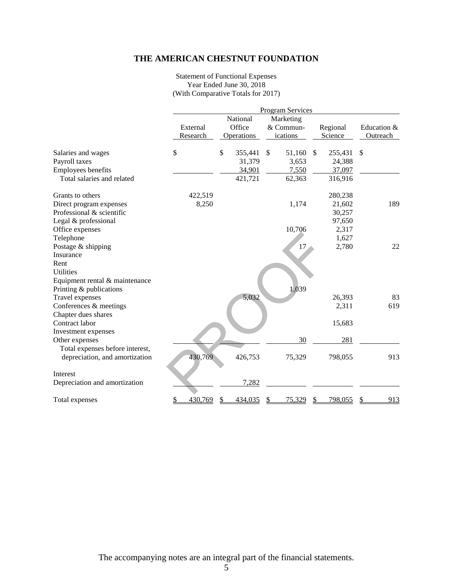#### Statement of Functional Expenses Year Ended June 30, 2018 (With Comparative Totals for 2017)

|                                                                                                  |                      |                                              | <b>Program Services</b>                            |                                                        |                         |
|--------------------------------------------------------------------------------------------------|----------------------|----------------------------------------------|----------------------------------------------------|--------------------------------------------------------|-------------------------|
|                                                                                                  | External<br>Research | National<br>Office<br>Operations             | Marketing<br>& Commun-<br>ications                 | Regional<br>Science                                    | Education &<br>Outreach |
| Salaries and wages<br>Payroll taxes<br><b>Employees benefits</b><br>Total salaries and related   | \$                   | \$<br>355,441<br>31,379<br>34,901<br>421,721 | $\mathbb{S}$<br>51,160<br>3,653<br>7,550<br>62,363 | $\mathbb{S}$<br>255,431<br>24,388<br>37,097<br>316,916 | \$                      |
| Grants to others<br>Direct program expenses<br>Professional & scientific<br>Legal & professional | 422,519<br>8,250     |                                              | 1,174                                              | 280,238<br>21,602<br>30,257<br>97,650                  | 189                     |
| Office expenses<br>Telephone<br>Postage & shipping<br>Insurance                                  |                      |                                              | 10,706<br>17                                       | 2,317<br>1,627<br>2,780                                | 22                      |
| Rent<br><b>Utilities</b><br>Equipment rental & maintenance<br>Printing & publications            |                      |                                              | 1,039                                              |                                                        |                         |
| Travel expenses<br>Conferences & meetings                                                        |                      | 5,032                                        |                                                    | 26,393<br>2,311                                        | 83<br>619               |
| Chapter dues shares<br>Contract labor<br>Investment expenses<br>Other expenses                   |                      |                                              | 30                                                 | 15,683<br>281                                          |                         |
| Total expenses before interest,<br>depreciation, and amortization                                | 430,769              | 426,753                                      | 75,329                                             | 798,055                                                | 913                     |
| Interest<br>Depreciation and amortization                                                        |                      | 7,282                                        |                                                    |                                                        |                         |
| Total expenses                                                                                   | 430,769<br>\$        | 434,035                                      | 75,329                                             | 798,055                                                | 913                     |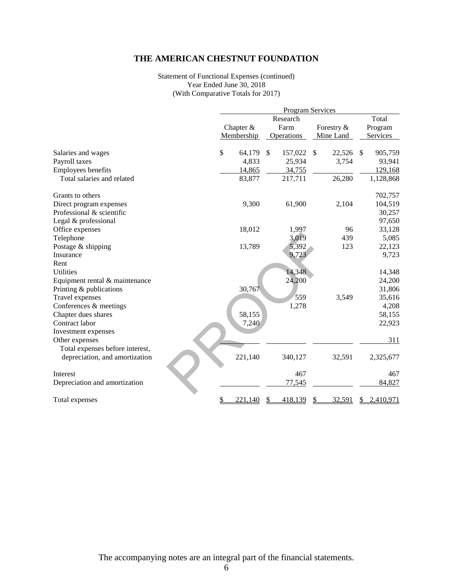#### Statement of Functional Expenses (continued) Year Ended June 30, 2018 (With Comparative Totals for 2017)

|                                 |                               | <b>Program Services</b>            |                          |  |  |  |  |  |
|---------------------------------|-------------------------------|------------------------------------|--------------------------|--|--|--|--|--|
|                                 | Research                      |                                    | Total                    |  |  |  |  |  |
|                                 | Chapter &<br>Farm             | Forestry &                         | Program                  |  |  |  |  |  |
|                                 | Membership<br>Operations      | Mine Land                          | Services                 |  |  |  |  |  |
| Salaries and wages              | \$<br>64,179<br><sup>\$</sup> | 157,022<br>22,526<br><sup>\$</sup> | 905,759<br><sup>\$</sup> |  |  |  |  |  |
| Payroll taxes                   | 4,833                         | 25,934<br>3,754                    | 93,941                   |  |  |  |  |  |
| Employees benefits              | 14,865                        | 34,755                             | 129,168                  |  |  |  |  |  |
| Total salaries and related      | 83,877                        | 217,711<br>26,280                  | 1,128,868                |  |  |  |  |  |
| Grants to others                |                               |                                    | 702,757                  |  |  |  |  |  |
| Direct program expenses         | 9,300                         | 61,900<br>2,104                    | 104,519                  |  |  |  |  |  |
| Professional & scientific       |                               |                                    | 30,257                   |  |  |  |  |  |
| Legal & professional            |                               |                                    | 97,650                   |  |  |  |  |  |
| Office expenses                 | 18,012                        | 1,997<br>96                        | 33,128                   |  |  |  |  |  |
| Telephone                       |                               | 3,019<br>439                       | 5,085                    |  |  |  |  |  |
| Postage & shipping              | 13,789                        | 5,392<br>123                       | 22,123                   |  |  |  |  |  |
| Insurance                       |                               | 9,723                              | 9,723                    |  |  |  |  |  |
| Rent                            |                               |                                    |                          |  |  |  |  |  |
| <b>Utilities</b>                |                               | 14,348                             | 14,348                   |  |  |  |  |  |
| Equipment rental & maintenance  |                               | 24,200                             | 24,200                   |  |  |  |  |  |
| Printing & publications         | 30,767                        |                                    | 31,806                   |  |  |  |  |  |
| Travel expenses                 |                               | 559<br>3,549                       | 35,616                   |  |  |  |  |  |
| Conferences & meetings          |                               | 1,278                              | 4,208                    |  |  |  |  |  |
| Chapter dues shares             | 58,155                        |                                    | 58,155                   |  |  |  |  |  |
| Contract labor                  | 7,240                         |                                    | 22,923                   |  |  |  |  |  |
| Investment expenses             |                               |                                    |                          |  |  |  |  |  |
| Other expenses                  |                               |                                    | 311                      |  |  |  |  |  |
| Total expenses before interest, |                               |                                    |                          |  |  |  |  |  |
| depreciation, and amortization  | 221,140                       | 32,591<br>340,127                  | 2,325,677                |  |  |  |  |  |
| Interest                        |                               | 467                                | 467                      |  |  |  |  |  |
| Depreciation and amortization   |                               | 77,545                             | 84,827                   |  |  |  |  |  |
| Total expenses                  | \$<br>221,140<br>S            | 418,139<br>32,591<br>S             | 2,410,971<br>S           |  |  |  |  |  |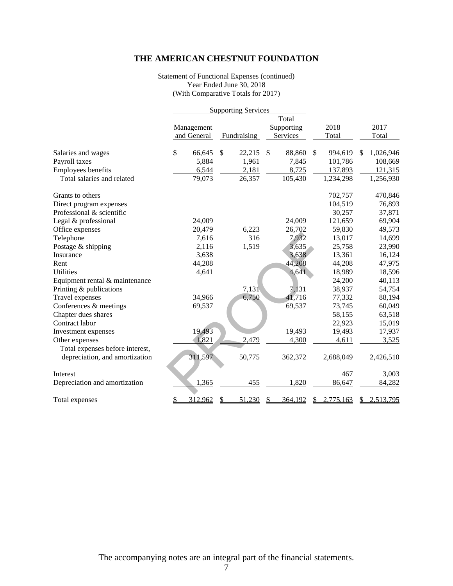#### Statement of Functional Expenses (continued) Year Ended June 30, 2018 (With Comparative Totals for 2017)

|                                 |                           | <b>Supporting Services</b> |    |                                 |              |               |                 |
|---------------------------------|---------------------------|----------------------------|----|---------------------------------|--------------|---------------|-----------------|
|                                 | Management<br>and General | Fundraising                |    | Total<br>Supporting<br>Services |              | 2018<br>Total | 2017<br>Total   |
| Salaries and wages              | \$<br>66,645              | \$<br>22,215               | \$ | 88,860                          | $\mathbb{S}$ | 994,619       | \$<br>1,026,946 |
| Payroll taxes                   | 5,884                     | 1,961                      |    | 7,845                           |              | 101,786       | 108,669         |
| <b>Employees benefits</b>       | 6,544                     | 2,181                      |    | 8,725                           |              | 137,893       | 121,315         |
| Total salaries and related      | 79,073                    | 26,357                     |    | 105,430                         |              | 1,234,298     | 1,256,930       |
| Grants to others                |                           |                            |    |                                 |              | 702,757       | 470,846         |
| Direct program expenses         |                           |                            |    |                                 |              | 104,519       | 76,893          |
| Professional & scientific       |                           |                            |    |                                 |              | 30,257        | 37,871          |
| Legal & professional            | 24,009                    |                            |    | 24,009                          |              | 121,659       | 69,904          |
| Office expenses                 | 20,479                    | 6,223                      |    | 26,702                          |              | 59,830        | 49,573          |
| Telephone                       | 7,616                     | 316                        |    | 7,932                           |              | 13,017        | 14,699          |
| Postage & shipping              | 2,116                     | 1,519                      |    | 3,635                           |              | 25,758        | 23,990          |
| Insurance                       | 3,638                     |                            |    | 3,638                           |              | 13,361        | 16,124          |
| Rent                            | 44,208                    |                            |    | 44,208                          |              | 44,208        | 47,975          |
| <b>Utilities</b>                | 4,641                     |                            |    | 4,641                           |              | 18,989        | 18,596          |
| Equipment rental & maintenance  |                           |                            |    |                                 |              | 24,200        | 40,113          |
| Printing & publications         |                           | 7,131                      |    | 7,131                           |              | 38,937        | 54,754          |
| Travel expenses                 | 34,966                    | 6,750                      |    | 41,716                          |              | 77,332        | 88,194          |
| Conferences & meetings          | 69,537                    |                            |    | 69,537                          |              | 73,745        | 60,049          |
| Chapter dues shares             |                           |                            |    |                                 |              | 58,155        | 63,518          |
| Contract labor                  |                           |                            |    |                                 |              | 22,923        | 15,019          |
| Investment expenses             | 19,493                    |                            |    | 19,493                          |              | 19,493        | 17,937          |
| Other expenses                  | 1,821                     | 2,479                      |    | 4,300                           |              | 4,611         | 3,525           |
| Total expenses before interest, |                           |                            |    |                                 |              |               |                 |
| depreciation, and amortization  | 311,597                   | 50,775                     |    | 362,372                         |              | 2,688,049     | 2,426,510       |
| Interest                        |                           |                            |    |                                 |              | 467           | 3,003           |
| Depreciation and amortization   | 1,365                     | 455                        |    | 1,820                           |              | 86,647        | 84,282          |
| Total expenses                  | \$<br>312,962             | \$<br>51,230               | S  | 364,192                         | S.           | 2,775,163     | \$<br>2,513,795 |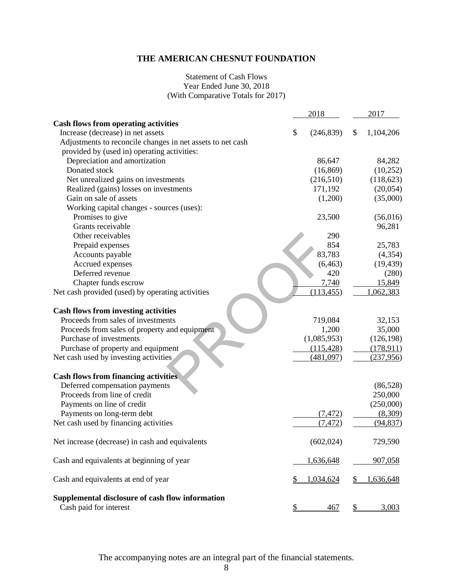#### Statement of Cash Flows Year Ended June 30, 2018 (With Comparative Totals for 2017)

|                                                            | 2018             | 2017            |
|------------------------------------------------------------|------------------|-----------------|
| <b>Cash flows from operating activities</b>                |                  |                 |
| Increase (decrease) in net assets                          | \$<br>(246, 839) | \$<br>1,104,206 |
| Adjustments to reconcile changes in net assets to net cash |                  |                 |
| provided by (used in) operating activities:                |                  |                 |
| Depreciation and amortization                              | 86,647           | 84,282          |
| Donated stock                                              | (16, 869)        | (10,252)        |
| Net unrealized gains on investments                        | (216,510)        | (118, 623)      |
| Realized (gains) losses on investments                     | 171,192          | (20, 054)       |
| Gain on sale of assets                                     | (1,200)          | (35,000)        |
| Working capital changes - sources (uses):                  |                  |                 |
| Promises to give                                           | 23,500           | (56,016)        |
| Grants receivable                                          |                  | 96,281          |
| Other receivables                                          | 290              |                 |
| Prepaid expenses                                           | 854              | 25,783          |
| Accounts payable                                           | 83,783           | (4, 354)        |
| Accrued expenses                                           | (6, 463)         | (19, 439)       |
| Deferred revenue                                           | 420              | (280)           |
| Chapter funds escrow                                       | 7,740            | 15,849          |
| Net cash provided (used) by operating activities           | (113, 455)       | 1,062,383       |
|                                                            |                  |                 |
| <b>Cash flows from investing activities</b>                |                  |                 |
| Proceeds from sales of investments                         | 719,084          | 32,153          |
| Proceeds from sales of property and equipment              | 1,200            | 35,000          |
| Purchase of investments                                    | (1,085,953)      | (126, 198)      |
| Purchase of property and equipment                         | (115, 428)       | (178,911)       |
| Net cash used by investing activities                      | (481,097)        | (237,956)       |
|                                                            |                  |                 |
|                                                            |                  |                 |
| <b>Cash flows from financing activities</b>                |                  |                 |
| Deferred compensation payments                             |                  | (86,528)        |
| Proceeds from line of credit                               |                  | 250,000         |
| Payments on line of credit                                 |                  | (250,000)       |
| Payments on long-term debt                                 | (7, 472)         | (8,309)         |
| Net cash used by financing activities                      | (7, 472)         | (94, 837)       |
| Net increase (decrease) in cash and equivalents            | (602, 024)       | 729,590         |
|                                                            |                  |                 |
| Cash and equivalents at beginning of year                  | 1,636,648        | 907,058         |
| Cash and equivalents at end of year                        | 1,034,624        | 1,636,648       |
| Supplemental disclosure of cash flow information           |                  |                 |
| Cash paid for interest                                     | \$<br>467        | \$<br>3,003     |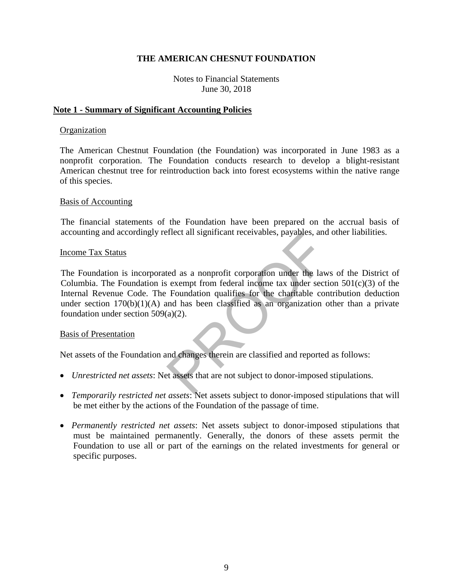#### Notes to Financial Statements June 30, 2018

#### **Note 1 - Summary of Significant Accounting Policies**

#### Organization

The American Chestnut Foundation (the Foundation) was incorporated in June 1983 as a nonprofit corporation. The Foundation conducts research to develop a blight-resistant American chestnut tree for reintroduction back into forest ecosystems within the native range of this species.

#### Basis of Accounting

The financial statements of the Foundation have been prepared on the accrual basis of accounting and accordingly reflect all significant receivables, payables, and other liabilities.

#### Income Tax Status

Effect an significant receivables, payables, and<br>ted as a nonprofit corporation under the law<br>exempt from federal income tax under section<br>Foundation qualifies for the charitable con<br>and has been classified as an organizat The Foundation is incorporated as a nonprofit corporation under the laws of the District of Columbia. The Foundation is exempt from federal income tax under section  $501(c)(3)$  of the Internal Revenue Code. The Foundation qualifies for the charitable contribution deduction under section  $170(b)(1)(A)$  and has been classified as an organization other than a private foundation under section 509(a)(2).

#### Basis of Presentation

Net assets of the Foundation and changes therein are classified and reported as follows:

- *Unrestricted net assets*: Net assets that are not subject to donor-imposed stipulations.
- *Temporarily restricted net assets*: Net assets subject to donor-imposed stipulations that will be met either by the actions of the Foundation of the passage of time.
- *Permanently restricted net assets*: Net assets subject to donor-imposed stipulations that must be maintained permanently. Generally, the donors of these assets permit the Foundation to use all or part of the earnings on the related investments for general or specific purposes.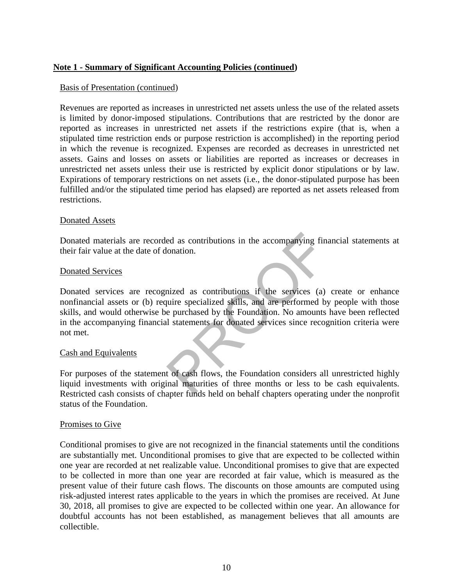#### Basis of Presentation (continued)

Revenues are reported as increases in unrestricted net assets unless the use of the related assets is limited by donor-imposed stipulations. Contributions that are restricted by the donor are reported as increases in unrestricted net assets if the restrictions expire (that is, when a stipulated time restriction ends or purpose restriction is accomplished) in the reporting period in which the revenue is recognized. Expenses are recorded as decreases in unrestricted net assets. Gains and losses on assets or liabilities are reported as increases or decreases in unrestricted net assets unless their use is restricted by explicit donor stipulations or by law. Expirations of temporary restrictions on net assets (i.e., the donor-stipulated purpose has been fulfilled and/or the stipulated time period has elapsed) are reported as net assets released from restrictions.

#### Donated Assets

Donated materials are recorded as contributions in the accompanying financial statements at their fair value at the date of donation.

#### Donated Services

ed as contributions in the accompanying fination.<br>
inized as contributions if the services (a)<br>
inized as contributions if the services (a)<br>
e purchased by the Foundation. No amounts<br>
il statements for donated services sin Donated services are recognized as contributions if the services (a) create or enhance nonfinancial assets or (b) require specialized skills, and are performed by people with those skills, and would otherwise be purchased by the Foundation. No amounts have been reflected in the accompanying financial statements for donated services since recognition criteria were not met.

#### Cash and Equivalents

For purposes of the statement of cash flows, the Foundation considers all unrestricted highly liquid investments with original maturities of three months or less to be cash equivalents. Restricted cash consists of chapter funds held on behalf chapters operating under the nonprofit status of the Foundation.

#### Promises to Give

Conditional promises to give are not recognized in the financial statements until the conditions are substantially met. Unconditional promises to give that are expected to be collected within one year are recorded at net realizable value. Unconditional promises to give that are expected to be collected in more than one year are recorded at fair value, which is measured as the present value of their future cash flows. The discounts on those amounts are computed using risk-adjusted interest rates applicable to the years in which the promises are received. At June 30, 2018, all promises to give are expected to be collected within one year. An allowance for doubtful accounts has not been established, as management believes that all amounts are collectible.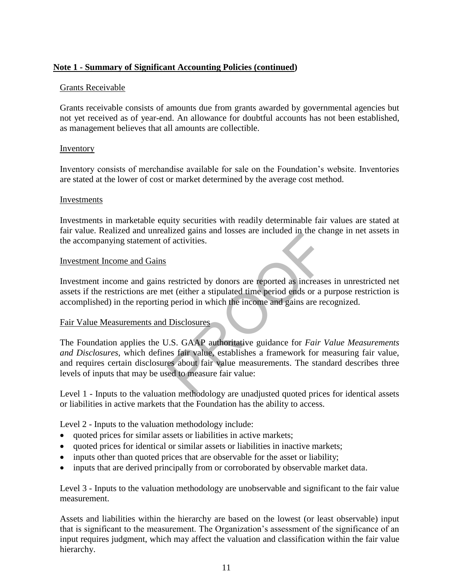#### Grants Receivable

Grants receivable consists of amounts due from grants awarded by governmental agencies but not yet received as of year-end. An allowance for doubtful accounts has not been established, as management believes that all amounts are collectible.

#### Inventory

Inventory consists of merchandise available for sale on the Foundation's website. Inventories are stated at the lower of cost or market determined by the average cost method.

#### Investments

Investments in marketable equity securities with readily determinable fair values are stated at fair value. Realized and unrealized gains and losses are included in the change in net assets in the accompanying statement of activities.

#### Investment Income and Gains

Investment income and gains restricted by donors are reported as increases in unrestricted net assets if the restrictions are met (either a stipulated time period ends or a purpose restriction is accomplished) in the reporting period in which the income and gains are recognized.

#### Fair Value Measurements and Disclosures

restricted by donors are reported as increases<br>restricted by donors are reported as increases<br>et (either a stipulated time period ends or a p<br>g period in which the income and gains are rec<br>Disclosures<br>J.S. GAAP authoritati The Foundation applies the U.S. GAAP authoritative guidance for *Fair Value Measurements and Disclosures,* which defines fair value, establishes a framework for measuring fair value, and requires certain disclosures about fair value measurements. The standard describes three levels of inputs that may be used to measure fair value:

Level 1 - Inputs to the valuation methodology are unadjusted quoted prices for identical assets or liabilities in active markets that the Foundation has the ability to access.

Level 2 - Inputs to the valuation methodology include:

- quoted prices for similar assets or liabilities in active markets;
- quoted prices for identical or similar assets or liabilities in inactive markets;
- inputs other than quoted prices that are observable for the asset or liability;
- inputs that are derived principally from or corroborated by observable market data.

Level 3 - Inputs to the valuation methodology are unobservable and significant to the fair value measurement.

Assets and liabilities within the hierarchy are based on the lowest (or least observable) input that is significant to the measurement. The Organization's assessment of the significance of an input requires judgment, which may affect the valuation and classification within the fair value hierarchy.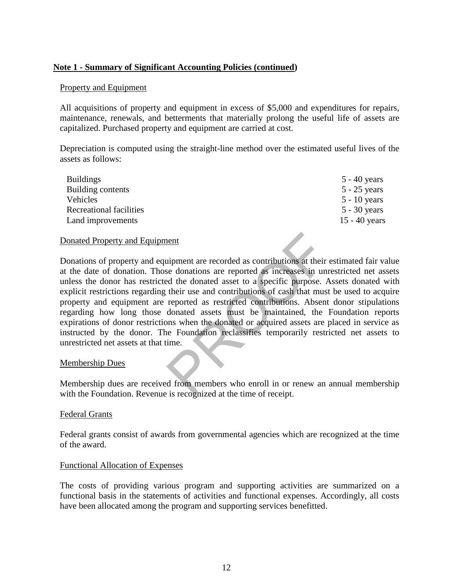#### Property and Equipment

All acquisitions of property and equipment in excess of \$5,000 and expenditures for repairs, maintenance, renewals, and betterments that materially prolong the useful life of assets are capitalized. Purchased property and equipment are carried at cost.

Depreciation is computed using the straight-line method over the estimated useful lives of the assets as follows:

| $5 - 40$ years |
|----------------|
| $5 - 25$ years |
| $5 - 10$ years |
| $5 - 30$ years |
| 15 - 40 years  |
|                |

#### Donated Property and Equipment

Next<br>
upment are recorded as contributions at their<br>
se donations are reported as increases in united the donated asset to a specific purpose. A<br>
their use and contributions of cash that must<br>
reported as restricted contri Donations of property and equipment are recorded as contributions at their estimated fair value at the date of donation. Those donations are reported as increases in unrestricted net assets unless the donor has restricted the donated asset to a specific purpose. Assets donated with explicit restrictions regarding their use and contributions of cash that must be used to acquire property and equipment are reported as restricted contributions. Absent donor stipulations regarding how long those donated assets must be maintained, the Foundation reports expirations of donor restrictions when the donated or acquired assets are placed in service as instructed by the donor. The Foundation reclassifies temporarily restricted net assets to unrestricted net assets at that time.

#### Membership Dues

Membership dues are received from members who enroll in or renew an annual membership with the Foundation. Revenue is recognized at the time of receipt.

#### Federal Grants

Federal grants consist of awards from governmental agencies which are recognized at the time of the award.

#### Functional Allocation of Expenses

The costs of providing various program and supporting activities are summarized on a functional basis in the statements of activities and functional expenses. Accordingly, all costs have been allocated among the program and supporting services benefitted.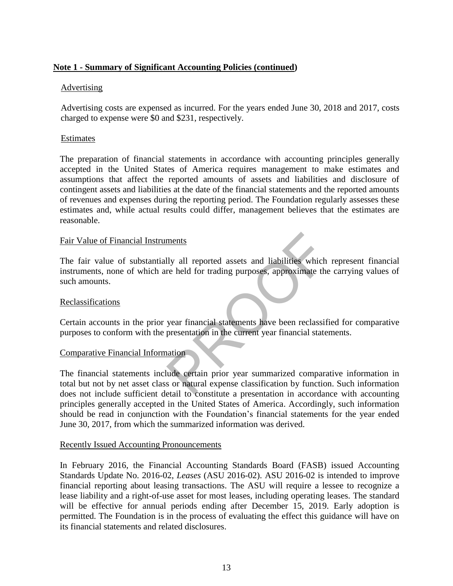#### Advertising

Advertising costs are expensed as incurred. For the years ended June 30, 2018 and 2017, costs charged to expense were \$0 and \$231, respectively.

#### Estimates

The preparation of financial statements in accordance with accounting principles generally accepted in the United States of America requires management to make estimates and assumptions that affect the reported amounts of assets and liabilities and disclosure of contingent assets and liabilities at the date of the financial statements and the reported amounts of revenues and expenses during the reporting period. The Foundation regularly assesses these estimates and, while actual results could differ, management believes that the estimates are reasonable.

#### Fair Value of Financial Instruments

ments<br>
Ily all reported assets and liabilities which<br>
re held for trading purposes, approximate the<br>
year financial statements have been reclassif<br>
presentation in the current year financial state<br>
a literation<br>
s or natur The fair value of substantially all reported assets and liabilities which represent financial instruments, none of which are held for trading purposes, approximate the carrying values of such amounts.

#### Reclassifications

Certain accounts in the prior year financial statements have been reclassified for comparative purposes to conform with the presentation in the current year financial statements.

#### Comparative Financial Information

The financial statements include certain prior year summarized comparative information in total but not by net asset class or natural expense classification by function. Such information does not include sufficient detail to constitute a presentation in accordance with accounting principles generally accepted in the United States of America. Accordingly, such information should be read in conjunction with the Foundation's financial statements for the year ended June 30, 2017, from which the summarized information was derived.

#### Recently Issued Accounting Pronouncements

In February 2016, the Financial Accounting Standards Board (FASB) issued Accounting Standards Update No. 2016-02, *Leases* (ASU 2016-02). ASU 2016-02 is intended to improve financial reporting about leasing transactions. The ASU will require a lessee to recognize a lease liability and a right-of-use asset for most leases, including operating leases. The standard will be effective for annual periods ending after December 15, 2019. Early adoption is permitted. The Foundation is in the process of evaluating the effect this guidance will have on its financial statements and related disclosures.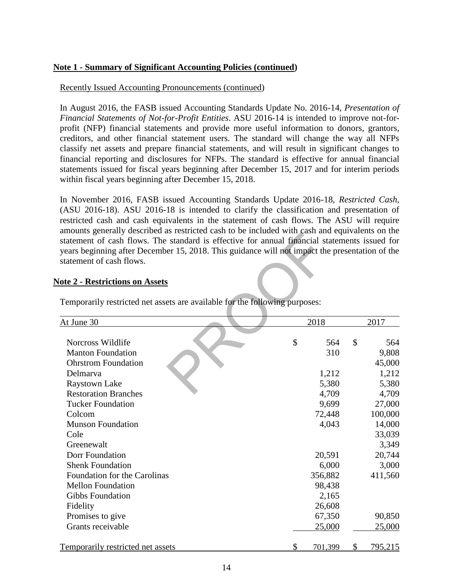Recently Issued Accounting Pronouncements (continued)

In August 2016, the FASB issued Accounting Standards Update No. 2016-14, *Presentation of Financial Statements of Not-for-Profit Entities*. ASU 2016-14 is intended to improve not-forprofit (NFP) financial statements and provide more useful information to donors, grantors, creditors, and other financial statement users. The standard will change the way all NFPs classify net assets and prepare financial statements, and will result in significant changes to financial reporting and disclosures for NFPs. The standard is effective for annual financial statements issued for fiscal years beginning after December 15, 2017 and for interim periods within fiscal years beginning after December 15, 2018.

In November 2016, FASB issued Accounting Standards Update 2016-18, *Restricted Cash*, (ASU 2016-18). ASU 2016-18 is intended to clarify the classification and presentation of restricted cash and cash equivalents in the statement of cash flows. The ASU will require amounts generally described as restricted cash to be included with cash and equivalents on the statement of cash flows. The standard is effective for annual financial statements issued for years beginning after December 15, 2018. This guidance will not impact the presentation of the statement of cash flows.

#### **Note 2 - Restrictions on Assets**

| amounts generary aeserved as resulted easil to be included with easil and equivalents on the<br>statement of cash flows. The standard is effective for annual financial statements issued for |               |                      |
|-----------------------------------------------------------------------------------------------------------------------------------------------------------------------------------------------|---------------|----------------------|
| years beginning after December 15, 2018. This guidance will not impact the presentation of the                                                                                                |               |                      |
| statement of cash flows.                                                                                                                                                                      |               |                      |
|                                                                                                                                                                                               |               |                      |
| ote 2 - Restrictions on Assets                                                                                                                                                                |               |                      |
|                                                                                                                                                                                               |               |                      |
| Temporarily restricted net assets are available for the following purposes:                                                                                                                   |               |                      |
|                                                                                                                                                                                               |               |                      |
| At June 30                                                                                                                                                                                    | 2018          | 2017                 |
|                                                                                                                                                                                               |               |                      |
| Norcross Wildlife                                                                                                                                                                             | \$<br>564     | \$<br>564            |
| <b>Manton Foundation</b>                                                                                                                                                                      | 310           | 9,808                |
| <b>Ohrstrom Foundation</b>                                                                                                                                                                    |               | 45,000               |
| Delmarva                                                                                                                                                                                      | 1,212         | 1,212                |
| <b>Raystown Lake</b>                                                                                                                                                                          | 5,380         | 5,380                |
| <b>Restoration Branches</b>                                                                                                                                                                   | 4,709         | 4,709                |
| <b>Tucker Foundation</b>                                                                                                                                                                      | 9,699         | 27,000               |
| Colcom                                                                                                                                                                                        | 72,448        | 100,000              |
| <b>Munson Foundation</b>                                                                                                                                                                      | 4,043         | 14,000               |
| Cole                                                                                                                                                                                          |               | 33,039               |
| Greenewalt                                                                                                                                                                                    |               | 3,349                |
| Dorr Foundation                                                                                                                                                                               | 20,591        | 20,744               |
| <b>Shenk Foundation</b>                                                                                                                                                                       | 6,000         | 3,000                |
| Foundation for the Carolinas                                                                                                                                                                  | 356,882       | 411,560              |
| <b>Mellon Foundation</b>                                                                                                                                                                      | 98,438        |                      |
| <b>Gibbs Foundation</b>                                                                                                                                                                       | 2,165         |                      |
| Fidelity                                                                                                                                                                                      | 26,608        |                      |
| Promises to give                                                                                                                                                                              | 67,350        | 90,850               |
| Grants receivable                                                                                                                                                                             | 25,000        | 25,000               |
| Temporarily restricted net assets                                                                                                                                                             | \$<br>701,399 | \$<br><u>795,215</u> |
|                                                                                                                                                                                               |               |                      |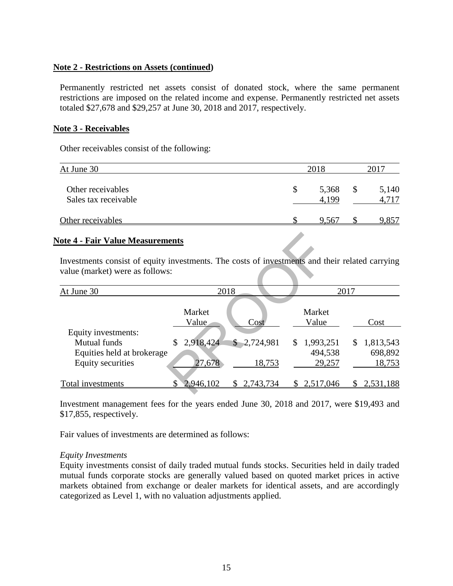#### **Note 2 - Restrictions on Assets (continued)**

Permanently restricted net assets consist of donated stock, where the same permanent restrictions are imposed on the related income and expense. Permanently restricted net assets totaled \$27,678 and \$29,257 at June 30, 2018 and 2017, respectively.

#### **Note 3 - Receivables**

Other receivables consist of the following:

| At June 30                                |  | 2018           |  |       |
|-------------------------------------------|--|----------------|--|-------|
| Other receivables<br>Sales tax receivable |  | 5,368<br>4.199 |  | 5,140 |
| Other receivables                         |  | 9,567          |  | 9,857 |

#### **Note 4 - Fair Value Measurements**

| <b>lote 4 - Fair Value Measurements</b><br>Investments consist of equity investments. The costs of investments and their related carrying<br>value (market) were as follows: |                                       |                                       |                                  |                                  |  |  |  |  |  |
|------------------------------------------------------------------------------------------------------------------------------------------------------------------------------|---------------------------------------|---------------------------------------|----------------------------------|----------------------------------|--|--|--|--|--|
| At June 30                                                                                                                                                                   |                                       | 2018<br>2017                          |                                  |                                  |  |  |  |  |  |
| Equity investments:                                                                                                                                                          | Market<br>Value                       | $\cos t$                              | Market<br>Value                  | Cost                             |  |  |  |  |  |
| <b>Mutual funds</b><br>Equities held at brokerage<br><b>Equity securities</b>                                                                                                | 2,918,424<br>$\mathbb{S}^-$<br>27,678 | 2,724,981<br>$\mathbb{S}^-$<br>18,753 | \$1,993,251<br>494,538<br>29,257 | \$1,813,543<br>698,892<br>18,753 |  |  |  |  |  |
| Total investments                                                                                                                                                            | 2,946,102                             | 2,743,734<br>S.                       | \$2,517,046                      | 2,531,188<br>S.                  |  |  |  |  |  |

Investment management fees for the years ended June 30, 2018 and 2017, were \$19,493 and \$17,855, respectively.

Fair values of investments are determined as follows:

#### *Equity Investments*

Equity investments consist of daily traded mutual funds stocks. Securities held in daily traded mutual funds corporate stocks are generally valued based on quoted market prices in active markets obtained from exchange or dealer markets for identical assets, and are accordingly categorized as Level 1, with no valuation adjustments applied.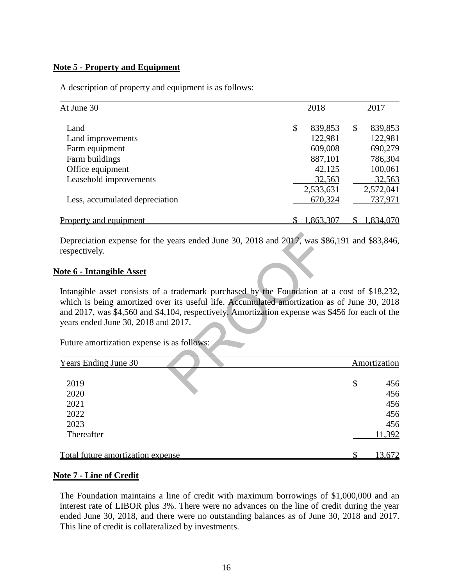#### **Note 5 - Property and Equipment**

A description of property and equipment is as follows:

| At June 30                     | 2018          | 2017 |           |  |
|--------------------------------|---------------|------|-----------|--|
|                                |               |      |           |  |
| Land                           | \$<br>839,853 | \$   | 839,853   |  |
| Land improvements              | 122,981       |      | 122,981   |  |
| Farm equipment                 | 609,008       |      | 690,279   |  |
| Farm buildings                 | 887,101       |      | 786,304   |  |
| Office equipment               | 42,125        |      | 100,061   |  |
| Leasehold improvements         | 32,563        |      | 32,563    |  |
|                                | 2,533,631     |      | 2,572,041 |  |
| Less, accumulated depreciation | 670,324       |      | 737,971   |  |
|                                |               |      |           |  |
| Property and equipment         | 1,863,307     |      | 1,834,070 |  |

Depreciation expense for the years ended June 30, 2018 and 2017, was \$86,191 and \$83,846, respectively.

#### **Note 6 - Intangible Asset**

years ended June 30, 2018 and 2017, was \$8<br>
1 trademark purchased by the Foundation at<br>
104, respectively. Amortization expense was \$1<br>
2017. Intangible asset consists of a trademark purchased by the Foundation at a cost of \$18,232, which is being amortized over its useful life. Accumulated amortization as of June 30, 2018 and 2017, was \$4,560 and \$4,104, respectively. Amortization expense was \$456 for each of the years ended June 30, 2018 and 2017.

Future amortization expense is as follows:

| Years Ending June 30              | Amortization |
|-----------------------------------|--------------|
|                                   |              |
| 2019                              | \$<br>456    |
| 2020                              | 456          |
| 2021                              | 456          |
| 2022                              | 456          |
| 2023                              | 456          |
| Thereafter                        | 11,392       |
| Total future amortization expense | \$<br>13,672 |

#### **Note 7 - Line of Credit**

The Foundation maintains a line of credit with maximum borrowings of \$1,000,000 and an interest rate of LIBOR plus 3%. There were no advances on the line of credit during the year ended June 30, 2018, and there were no outstanding balances as of June 30, 2018 and 2017. This line of credit is collateralized by investments.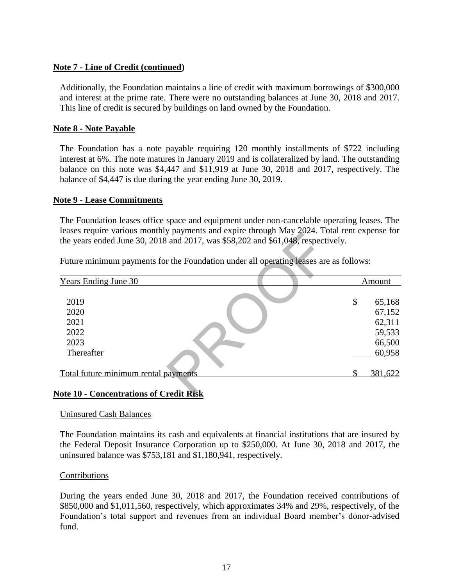#### **Note 7 - Line of Credit (continued)**

Additionally, the Foundation maintains a line of credit with maximum borrowings of \$300,000 and interest at the prime rate. There were no outstanding balances at June 30, 2018 and 2017. This line of credit is secured by buildings on land owned by the Foundation.

#### **Note 8 - Note Payable**

The Foundation has a note payable requiring 120 monthly installments of \$722 including interest at 6%. The note matures in January 2019 and is collateralized by land. The outstanding balance on this note was \$4,447 and \$11,919 at June 30, 2018 and 2017, respectively. The balance of \$4,447 is due during the year ending June 30, 2019.

#### **Note 9 - Lease Commitments**

The Foundation leases office space and equipment under non-cancelable operating leases. The leases require various monthly payments and expire through May 2024. Total rent expense for the years ended June 30, 2018 and 2017, was \$58,202 and \$61,048, respectively.

| Future minimum payments for the Foundation under all operating leases are as follows: |              |
|---------------------------------------------------------------------------------------|--------------|
| Years Ending June 30                                                                  | Amount       |
| 2019                                                                                  | \$<br>65,168 |
| 2020                                                                                  | 67,152       |
| 2021                                                                                  | 62,311       |
| 2022                                                                                  | 59,533       |
| 2023                                                                                  | 66,500       |
| Thereafter                                                                            | 60,958       |
| Total future minimum rental payments                                                  | 381,622      |

#### **Note 10 - Concentrations of Credit Risk**

#### Uninsured Cash Balances

The Foundation maintains its cash and equivalents at financial institutions that are insured by the Federal Deposit Insurance Corporation up to \$250,000. At June 30, 2018 and 2017, the uninsured balance was \$753,181 and \$1,180,941, respectively.

#### Contributions

During the years ended June 30, 2018 and 2017, the Foundation received contributions of \$850,000 and \$1,011,560, respectively, which approximates 34% and 29%, respectively, of the Foundation's total support and revenues from an individual Board member's donor-advised fund.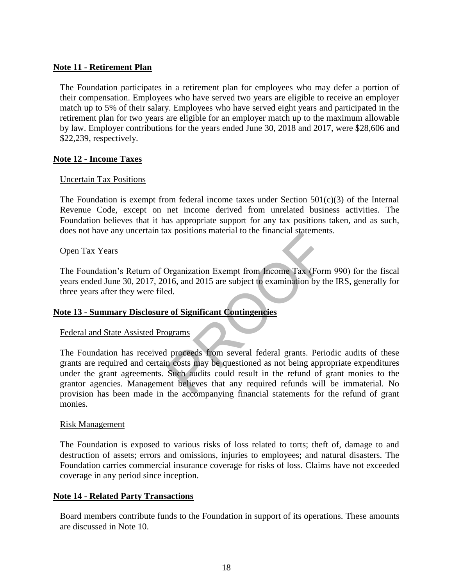#### **Note 11 - Retirement Plan**

The Foundation participates in a retirement plan for employees who may defer a portion of their compensation. Employees who have served two years are eligible to receive an employer match up to 5% of their salary. Employees who have served eight years and participated in the retirement plan for two years are eligible for an employer match up to the maximum allowable by law. Employer contributions for the years ended June 30, 2018 and 2017, were \$28,606 and \$22,239, respectively.

#### **Note 12 - Income Taxes**

#### Uncertain Tax Positions

The Foundation is exempt from federal income taxes under Section  $501(c)(3)$  of the Internal Revenue Code, except on net income derived from unrelated business activities. The Foundation believes that it has appropriate support for any tax positions taken, and as such, does not have any uncertain tax positions material to the financial statements.

#### Open Tax Years

The Foundation's Return of Organization Exempt from Income Tax (Form 990) for the fiscal years ended June 30, 2017, 2016, and 2015 are subject to examination by the IRS, generally for three years after they were filed.

#### **Note 13 - Summary Disclosure of Significant Contingencies**

#### Federal and State Assisted Programs

Drganization Exempt from Income Tax (Form<br>
16, and 2015 are subject to examination by the<br>
2016, and 2015 are subject to examination by the<br>
2016 and 2015 are subject to examination by the<br>
2016 and 2015 are subject to exa The Foundation has received proceeds from several federal grants. Periodic audits of these grants are required and certain costs may be questioned as not being appropriate expenditures under the grant agreements. Such audits could result in the refund of grant monies to the grantor agencies. Management believes that any required refunds will be immaterial. No provision has been made in the accompanying financial statements for the refund of grant monies.

#### Risk Management

The Foundation is exposed to various risks of loss related to torts; theft of, damage to and destruction of assets; errors and omissions, injuries to employees; and natural disasters. The Foundation carries commercial insurance coverage for risks of loss. Claims have not exceeded coverage in any period since inception.

#### **Note 14 - Related Party Transactions**

Board members contribute funds to the Foundation in support of its operations. These amounts are discussed in Note 10.